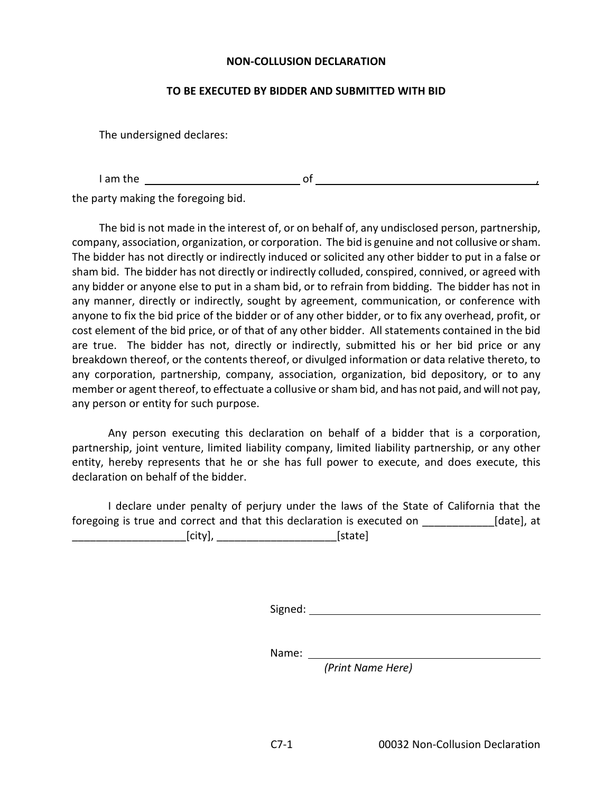## **NON-COLLUSION DECLARATION**

## **TO BE EXECUTED BY BIDDER AND SUBMITTED WITH BID**

The undersigned declares:

I am the  $\frac{1}{\sqrt{1-\frac{1}{2}}}\left\{\cos \left(\frac{1}{2} \right)\cos \left(\frac{1}{2} \right)\right\}$ 

the party making the foregoing bid.

The bid is not made in the interest of, or on behalf of, any undisclosed person, partnership, company, association, organization, or corporation. The bid is genuine and not collusive or sham. The bidder has not directly or indirectly induced or solicited any other bidder to put in a false or sham bid. The bidder has not directly or indirectly colluded, conspired, connived, or agreed with any bidder or anyone else to put in a sham bid, or to refrain from bidding. The bidder has not in any manner, directly or indirectly, sought by agreement, communication, or conference with anyone to fix the bid price of the bidder or of any other bidder, or to fix any overhead, profit, or cost element of the bid price, or of that of any other bidder. All statements contained in the bid are true. The bidder has not, directly or indirectly, submitted his or her bid price or any breakdown thereof, or the contents thereof, or divulged information or data relative thereto, to any corporation, partnership, company, association, organization, bid depository, or to any member or agent thereof, to effectuate a collusive or sham bid, and has not paid, and will not pay, any person or entity for such purpose.

Any person executing this declaration on behalf of a bidder that is a corporation, partnership, joint venture, limited liability company, limited liability partnership, or any other entity, hereby represents that he or she has full power to execute, and does execute, this declaration on behalf of the bidder.

I declare under penalty of perjury under the laws of the State of California that the foregoing is true and correct and that this declaration is executed on [date], at \_\_\_\_\_\_\_\_\_\_\_\_\_\_\_\_\_\_\_[city], \_\_\_\_\_\_\_\_\_\_\_\_\_\_\_\_\_\_\_\_[state]

Signed: **Signed: Signed: Signed: Signed: Signed: Signed: Signed: Signed: Signed: Signed: Signed: Signed: Signed: Signed: Signed: Signed: Signed: Signed: Signed: Signed: Signed: Sig** 

Name: \_

*(Print Name Here)*